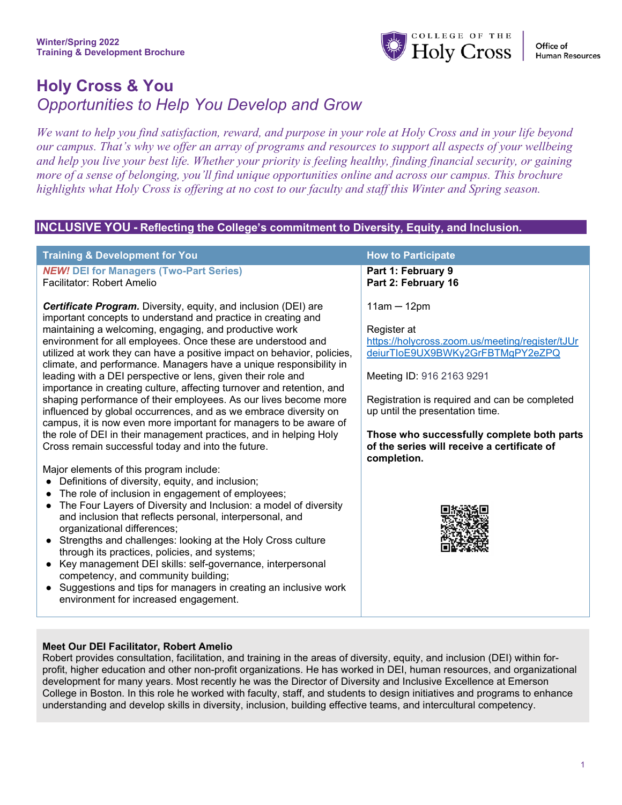

# **Holy Cross & You** *Opportunities to Help You Develop and Grow*

*We want to help you find satisfaction, reward, and purpose in your role at Holy Cross and in your life beyond our campus. That's why we offer an array of programs and resources to support all aspects of your wellbeing and help you live your best life. Whether your priority is feeling healthy, finding financial security, or gaining more of a sense of belonging, you'll find unique opportunities online and across our campus. This brochure highlights what Holy Cross is offering at no cost to our faculty and staff this Winter and Spring season.* 

#### **INCLUSIVE YOU - Reflecting the College's commitment to Diversity, Equity, and Inclusion.**

| <b>Training &amp; Development for You</b>                                                                                                                                                                                                                                                                                                                                                                                                                                                                                                                                                                                                                                                                                                                                                                                                                                                                                                                                                                                                                                                                                                                                                                                                                                                                                                                                                                                                                                                                                                                                         | <b>How to Participate</b>                                                                                                                                                                                                                                                                                                                        |
|-----------------------------------------------------------------------------------------------------------------------------------------------------------------------------------------------------------------------------------------------------------------------------------------------------------------------------------------------------------------------------------------------------------------------------------------------------------------------------------------------------------------------------------------------------------------------------------------------------------------------------------------------------------------------------------------------------------------------------------------------------------------------------------------------------------------------------------------------------------------------------------------------------------------------------------------------------------------------------------------------------------------------------------------------------------------------------------------------------------------------------------------------------------------------------------------------------------------------------------------------------------------------------------------------------------------------------------------------------------------------------------------------------------------------------------------------------------------------------------------------------------------------------------------------------------------------------------|--------------------------------------------------------------------------------------------------------------------------------------------------------------------------------------------------------------------------------------------------------------------------------------------------------------------------------------------------|
| <b>NEW! DEI for Managers (Two-Part Series)</b>                                                                                                                                                                                                                                                                                                                                                                                                                                                                                                                                                                                                                                                                                                                                                                                                                                                                                                                                                                                                                                                                                                                                                                                                                                                                                                                                                                                                                                                                                                                                    | Part 1: February 9                                                                                                                                                                                                                                                                                                                               |
| <b>Facilitator: Robert Amelio</b>                                                                                                                                                                                                                                                                                                                                                                                                                                                                                                                                                                                                                                                                                                                                                                                                                                                                                                                                                                                                                                                                                                                                                                                                                                                                                                                                                                                                                                                                                                                                                 | Part 2: February 16                                                                                                                                                                                                                                                                                                                              |
| <b>Certificate Program.</b> Diversity, equity, and inclusion (DEI) are<br>important concepts to understand and practice in creating and<br>maintaining a welcoming, engaging, and productive work<br>environment for all employees. Once these are understood and<br>utilized at work they can have a positive impact on behavior, policies,<br>climate, and performance. Managers have a unique responsibility in<br>leading with a DEI perspective or lens, given their role and<br>importance in creating culture, affecting turnover and retention, and<br>shaping performance of their employees. As our lives become more<br>influenced by global occurrences, and as we embrace diversity on<br>campus, it is now even more important for managers to be aware of<br>the role of DEI in their management practices, and in helping Holy<br>Cross remain successful today and into the future.<br>Major elements of this program include:<br>Definitions of diversity, equity, and inclusion;<br>The role of inclusion in engagement of employees;<br>The Four Layers of Diversity and Inclusion: a model of diversity<br>$\bullet$<br>and inclusion that reflects personal, interpersonal, and<br>organizational differences;<br>Strengths and challenges: looking at the Holy Cross culture<br>through its practices, policies, and systems;<br>Key management DEI skills: self-governance, interpersonal<br>competency, and community building;<br>Suggestions and tips for managers in creating an inclusive work<br>$\bullet$<br>environment for increased engagement. | $11am - 12pm$<br>Register at<br>https://holycross.zoom.us/meeting/register/tJUr<br>deiurTloE9UX9BWKy2GrFBTMgPY2eZPQ<br>Meeting ID: 916 2163 9291<br>Registration is required and can be completed<br>up until the presentation time.<br>Those who successfully complete both parts<br>of the series will receive a certificate of<br>completion. |

#### **Meet Our DEI Facilitator, Robert Amelio**

Robert provides consultation, facilitation, and training in the areas of diversity, equity, and inclusion (DEI) within forprofit, higher education and other non-profit organizations. He has worked in DEI, human resources, and organizational development for many years. Most recently he was the Director of Diversity and Inclusive Excellence at Emerson College in Boston. In this role he worked with faculty, staff, and students to design initiatives and programs to enhance understanding and develop skills in diversity, inclusion, building effective teams, and intercultural competency.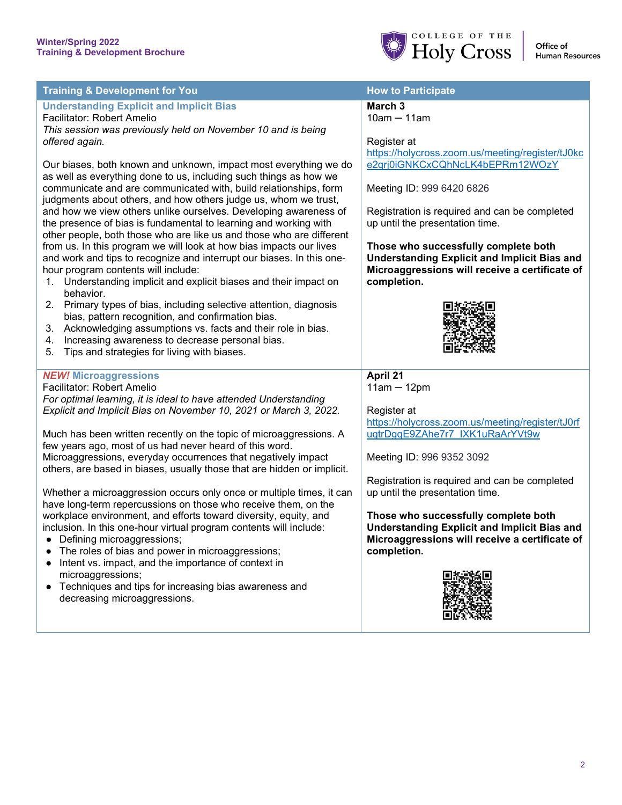

| <b>Training &amp; Development for You</b>                                                                                                                                                                                                                                                                                                                                                                                                                                                                                                                                                                                                                                                                                                                             | <b>How to Participate</b>                                                                                                                                                                                                                                                                                        |
|-----------------------------------------------------------------------------------------------------------------------------------------------------------------------------------------------------------------------------------------------------------------------------------------------------------------------------------------------------------------------------------------------------------------------------------------------------------------------------------------------------------------------------------------------------------------------------------------------------------------------------------------------------------------------------------------------------------------------------------------------------------------------|------------------------------------------------------------------------------------------------------------------------------------------------------------------------------------------------------------------------------------------------------------------------------------------------------------------|
| <b>Understanding Explicit and Implicit Bias</b><br>Facilitator: Robert Amelio<br>This session was previously held on November 10 and is being<br>offered again.                                                                                                                                                                                                                                                                                                                                                                                                                                                                                                                                                                                                       | March <sub>3</sub><br>$10am - 11am$<br>Register at<br>https://holycross.zoom.us/meeting/register/tJ0kc                                                                                                                                                                                                           |
| Our biases, both known and unknown, impact most everything we do<br>as well as everything done to us, including such things as how we<br>communicate and are communicated with, build relationships, form<br>judgments about others, and how others judge us, whom we trust,<br>and how we view others unlike ourselves. Developing awareness of<br>the presence of bias is fundamental to learning and working with<br>other people, both those who are like us and those who are different<br>from us. In this program we will look at how bias impacts our lives<br>and work and tips to recognize and interrupt our biases. In this one-<br>hour program contents will include:<br>1. Understanding implicit and explicit biases and their impact on<br>behavior. | e2qrj0iGNKCxCQhNcLK4bEPRm12WOzY<br>Meeting ID: 999 6420 6826<br>Registration is required and can be completed<br>up until the presentation time.<br>Those who successfully complete both<br><b>Understanding Explicit and Implicit Bias and</b><br>Microaggressions will receive a certificate of<br>completion. |
| 2. Primary types of bias, including selective attention, diagnosis<br>bias, pattern recognition, and confirmation bias.<br>3. Acknowledging assumptions vs. facts and their role in bias.<br>4. Increasing awareness to decrease personal bias.<br>Tips and strategies for living with biases.<br>5.                                                                                                                                                                                                                                                                                                                                                                                                                                                                  |                                                                                                                                                                                                                                                                                                                  |
| <b>NEW! Microaggressions</b><br>Facilitator: Robert Amelio<br>For optimal learning, it is ideal to have attended Understanding<br>Explicit and Implicit Bias on November 10, 2021 or March 3, 2022.                                                                                                                                                                                                                                                                                                                                                                                                                                                                                                                                                                   | April 21<br>$11am - 12pm$<br>Register at<br>https://holycross.zoom.us/meeting/register/tJ0rf                                                                                                                                                                                                                     |
| Much has been written recently on the topic of microaggressions. A<br>few years ago, most of us had never heard of this word.<br>Microaggressions, everyday occurrences that negatively impact<br>others, are based in biases, usually those that are hidden or implicit.<br>Whether a microaggression occurs only once or multiple times, it can<br>have long-term repercussions on those who receive them, on the                                                                                                                                                                                                                                                                                                                                                   | uqtrDgqE9ZAhe7r7 IXK1uRaArYVt9w<br>Meeting ID: 996 9352 3092<br>Registration is required and can be completed<br>up until the presentation time.                                                                                                                                                                 |
| workplace environment, and efforts toward diversity, equity, and<br>inclusion. In this one-hour virtual program contents will include:<br>Defining microaggressions;<br>The roles of bias and power in microaggressions;<br>Intent vs. impact, and the importance of context in<br>microaggressions;<br>Techniques and tips for increasing bias awareness and<br>$\bullet$<br>decreasing microaggressions.                                                                                                                                                                                                                                                                                                                                                            | Those who successfully complete both<br><b>Understanding Explicit and Implicit Bias and</b><br>Microaggressions will receive a certificate of<br>completion.                                                                                                                                                     |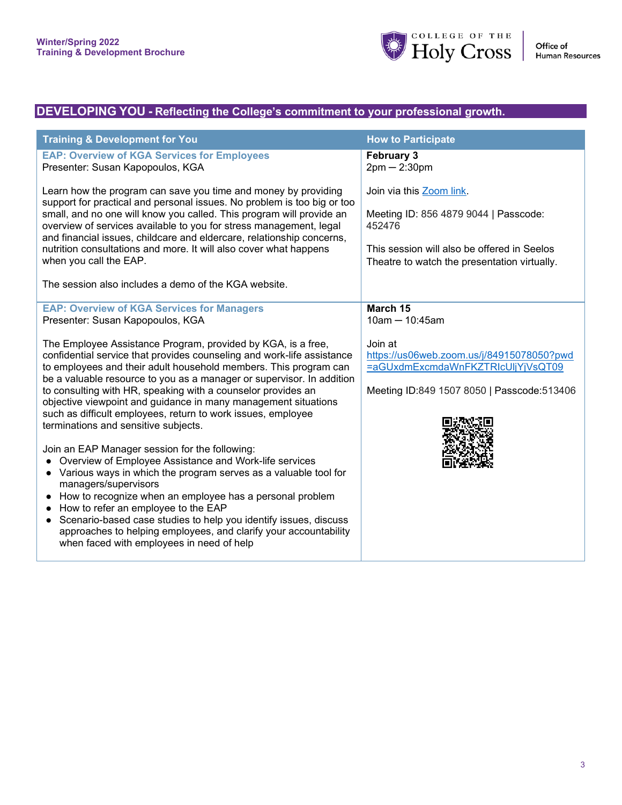

### **DEVELOPING YOU - Reflecting the College's commitment to your professional growth.**

| <b>Training &amp; Development for You</b>                                                                                                                                                                                                                                                                                                                                                                                                                                                                                                         | <b>How to Participate</b>                                                                                                                                                  |
|---------------------------------------------------------------------------------------------------------------------------------------------------------------------------------------------------------------------------------------------------------------------------------------------------------------------------------------------------------------------------------------------------------------------------------------------------------------------------------------------------------------------------------------------------|----------------------------------------------------------------------------------------------------------------------------------------------------------------------------|
| <b>EAP: Overview of KGA Services for Employees</b><br>Presenter: Susan Kapopoulos, KGA                                                                                                                                                                                                                                                                                                                                                                                                                                                            | <b>February 3</b><br>$2pm - 2:30pm$                                                                                                                                        |
| Learn how the program can save you time and money by providing<br>support for practical and personal issues. No problem is too big or too<br>small, and no one will know you called. This program will provide an<br>overview of services available to you for stress management, legal<br>and financial issues, childcare and eldercare, relationship concerns,<br>nutrition consultations and more. It will also cover what happens<br>when you call the EAP.<br>The session also includes a demo of the KGA website.                           | Join via this Zoom link.<br>Meeting ID: 856 4879 9044   Passcode:<br>452476<br>This session will also be offered in Seelos<br>Theatre to watch the presentation virtually. |
| <b>EAP: Overview of KGA Services for Managers</b>                                                                                                                                                                                                                                                                                                                                                                                                                                                                                                 | March 15                                                                                                                                                                   |
| Presenter: Susan Kapopoulos, KGA                                                                                                                                                                                                                                                                                                                                                                                                                                                                                                                  | $10am - 10:45am$                                                                                                                                                           |
| The Employee Assistance Program, provided by KGA, is a free,<br>confidential service that provides counseling and work-life assistance<br>to employees and their adult household members. This program can<br>be a valuable resource to you as a manager or supervisor. In addition<br>to consulting with HR, speaking with a counselor provides an<br>objective viewpoint and guidance in many management situations<br>such as difficult employees, return to work issues, employee<br>terminations and sensitive subjects.                     | Join at<br>https://us06web.zoom.us/j/84915078050?pwd<br>=aGUxdmExcmdaWnFKZTRIcUljYjVsQT09<br>Meeting ID:849 1507 8050   Passcode:513406                                    |
| Join an EAP Manager session for the following:<br>Overview of Employee Assistance and Work-life services<br>$\bullet$<br>• Various ways in which the program serves as a valuable tool for<br>managers/supervisors<br>How to recognize when an employee has a personal problem<br>$\bullet$<br>How to refer an employee to the EAP<br>$\bullet$<br>Scenario-based case studies to help you identify issues, discuss<br>$\bullet$<br>approaches to helping employees, and clarify your accountability<br>when faced with employees in need of help |                                                                                                                                                                            |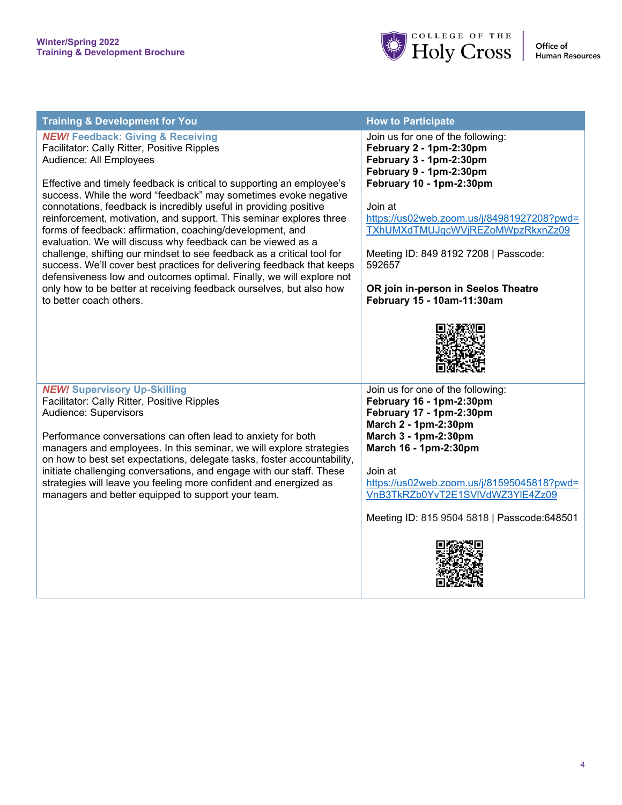

| <b>Training &amp; Development for You</b>                                                                                                                                                                                                                                                                                                                                                                                                                                                                                                  | <b>How to Participate</b>                                                                                                                                                                                                                   |
|--------------------------------------------------------------------------------------------------------------------------------------------------------------------------------------------------------------------------------------------------------------------------------------------------------------------------------------------------------------------------------------------------------------------------------------------------------------------------------------------------------------------------------------------|---------------------------------------------------------------------------------------------------------------------------------------------------------------------------------------------------------------------------------------------|
| <b>NEW! Feedback: Giving &amp; Receiving</b><br>Facilitator: Cally Ritter, Positive Ripples<br>Audience: All Employees<br>Effective and timely feedback is critical to supporting an employee's<br>success. While the word "feedback" may sometimes evoke negative<br>connotations, feedback is incredibly useful in providing positive<br>reinforcement, motivation, and support. This seminar explores three<br>forms of feedback: affirmation, coaching/development, and<br>evaluation. We will discuss why feedback can be viewed as a | Join us for one of the following:<br>February 2 - 1pm-2:30pm<br>February 3 - 1pm-2:30pm<br>February 9 - 1pm-2:30pm<br>February 10 - 1pm-2:30pm<br>Join at<br>https://us02web.zoom.us/j/84981927208?pwd=<br>TXhUMXdTMUJqcWVjREZoMWpzRkxnZz09 |
| challenge, shifting our mindset to see feedback as a critical tool for<br>success. We'll cover best practices for delivering feedback that keeps<br>defensiveness low and outcomes optimal. Finally, we will explore not<br>only how to be better at receiving feedback ourselves, but also how<br>to better coach others.                                                                                                                                                                                                                 | Meeting ID: 849 8192 7208   Passcode:<br>592657<br>OR join in-person in Seelos Theatre<br>February 15 - 10am-11:30am                                                                                                                        |
|                                                                                                                                                                                                                                                                                                                                                                                                                                                                                                                                            |                                                                                                                                                                                                                                             |
| <b>NEW! Supervisory Up-Skilling</b><br>Facilitator: Cally Ritter, Positive Ripples                                                                                                                                                                                                                                                                                                                                                                                                                                                         | Join us for one of the following:<br>February 16 - 1pm-2:30pm                                                                                                                                                                               |
| Audience: Supervisors                                                                                                                                                                                                                                                                                                                                                                                                                                                                                                                      | February 17 - 1pm-2:30pm<br>March 2 - 1pm-2:30pm                                                                                                                                                                                            |
| Performance conversations can often lead to anxiety for both<br>managers and employees. In this seminar, we will explore strategies<br>on how to best set expectations, delegate tasks, foster accountability,                                                                                                                                                                                                                                                                                                                             | March 3 - 1pm-2:30pm<br>March 16 - 1pm-2:30pm                                                                                                                                                                                               |
| initiate challenging conversations, and engage with our staff. These<br>strategies will leave you feeling more confident and energized as<br>managers and better equipped to support your team.                                                                                                                                                                                                                                                                                                                                            | Join at<br>https://us02web.zoom.us/j/81595045818?pwd=<br>VnB3TkRZb0YvT2E1SVIVdWZ3YIE4Zz09                                                                                                                                                   |
|                                                                                                                                                                                                                                                                                                                                                                                                                                                                                                                                            | Meeting ID: 815 9504 5818   Passcode: 648501                                                                                                                                                                                                |
|                                                                                                                                                                                                                                                                                                                                                                                                                                                                                                                                            |                                                                                                                                                                                                                                             |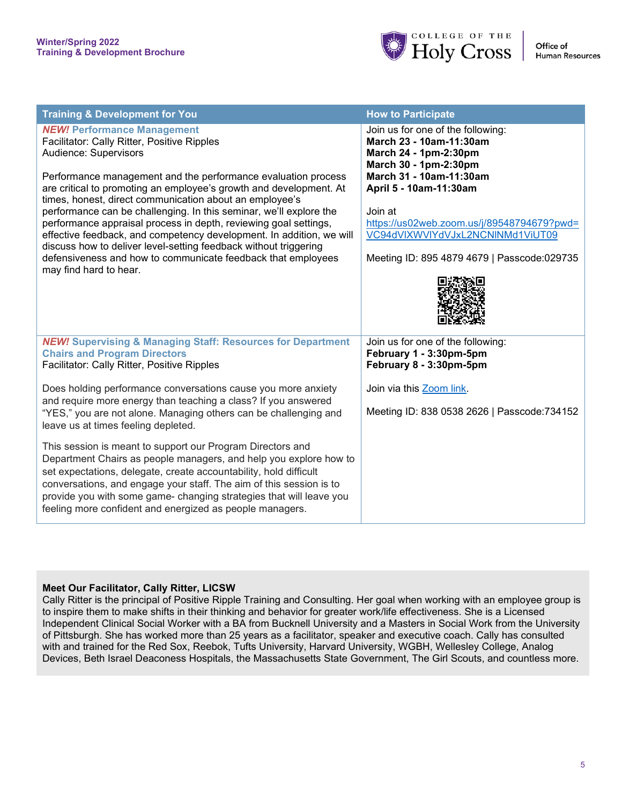

| <b>Training &amp; Development for You</b>                                                                                                                                                                                                                                                                                                                                                                                                                                                                                                                                                                                                                                                    | <b>How to Participate</b>                                                                                                                                                                                                                                                                                       |
|----------------------------------------------------------------------------------------------------------------------------------------------------------------------------------------------------------------------------------------------------------------------------------------------------------------------------------------------------------------------------------------------------------------------------------------------------------------------------------------------------------------------------------------------------------------------------------------------------------------------------------------------------------------------------------------------|-----------------------------------------------------------------------------------------------------------------------------------------------------------------------------------------------------------------------------------------------------------------------------------------------------------------|
| <b>NEW! Performance Management</b><br>Facilitator: Cally Ritter, Positive Ripples<br>Audience: Supervisors<br>Performance management and the performance evaluation process<br>are critical to promoting an employee's growth and development. At<br>times, honest, direct communication about an employee's<br>performance can be challenging. In this seminar, we'll explore the<br>performance appraisal process in depth, reviewing goal settings,<br>effective feedback, and competency development. In addition, we will<br>discuss how to deliver level-setting feedback without triggering<br>defensiveness and how to communicate feedback that employees<br>may find hard to hear. | Join us for one of the following:<br>March 23 - 10am-11:30am<br>March 24 - 1pm-2:30pm<br>March 30 - 1pm-2:30pm<br>March 31 - 10am-11:30am<br>April 5 - 10am-11:30am<br>Join at<br>https://us02web.zoom.us/j/89548794679?pwd=<br>VC94dVIXWVIYdVJxL2NCNINMd1ViUT09<br>Meeting ID: 895 4879 4679   Passcode:029735 |
| <b>NEW!</b> Supervising & Managing Staff: Resources for Department<br><b>Chairs and Program Directors</b><br>Facilitator: Cally Ritter, Positive Ripples                                                                                                                                                                                                                                                                                                                                                                                                                                                                                                                                     | Join us for one of the following:<br>February 1 - 3:30pm-5pm<br>February 8 - 3:30pm-5pm                                                                                                                                                                                                                         |
| Does holding performance conversations cause you more anxiety<br>and require more energy than teaching a class? If you answered<br>"YES," you are not alone. Managing others can be challenging and<br>leave us at times feeling depleted.                                                                                                                                                                                                                                                                                                                                                                                                                                                   | Join via this Zoom link.<br>Meeting ID: 838 0538 2626   Passcode: 734152                                                                                                                                                                                                                                        |
| This session is meant to support our Program Directors and<br>Department Chairs as people managers, and help you explore how to<br>set expectations, delegate, create accountability, hold difficult<br>conversations, and engage your staff. The aim of this session is to<br>provide you with some game- changing strategies that will leave you<br>feeling more confident and energized as people managers.                                                                                                                                                                                                                                                                               |                                                                                                                                                                                                                                                                                                                 |

#### **Meet Our Facilitator, Cally Ritter, LICSW**

Cally Ritter is the principal of Positive Ripple Training and Consulting. Her goal when working with an employee group is to inspire them to make shifts in their thinking and behavior for greater work/life effectiveness. She is a Licensed Independent Clinical Social Worker with a BA from Bucknell University and a Masters in Social Work from the University of Pittsburgh. She has worked more than 25 years as a facilitator, speaker and executive coach. Cally has consulted with and trained for the Red Sox, Reebok, Tufts University, Harvard University, WGBH, Wellesley College, Analog Devices, Beth Israel Deaconess Hospitals, the Massachusetts State Government, The Girl Scouts, and countless more.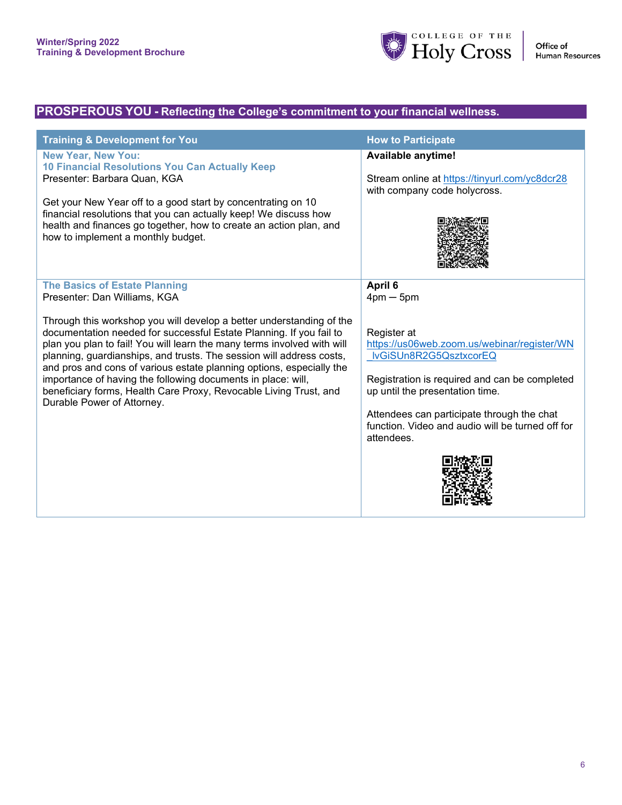

### **PROSPEROUS YOU - Reflecting the College's commitment to your financial wellness.**

| <b>Training &amp; Development for You</b>                                                                                                                                                                                                                                                                                                                                                                                                                                                                                                                                                                         | <b>How to Participate</b>                                                                                                                                                                                                                                                                                                          |
|-------------------------------------------------------------------------------------------------------------------------------------------------------------------------------------------------------------------------------------------------------------------------------------------------------------------------------------------------------------------------------------------------------------------------------------------------------------------------------------------------------------------------------------------------------------------------------------------------------------------|------------------------------------------------------------------------------------------------------------------------------------------------------------------------------------------------------------------------------------------------------------------------------------------------------------------------------------|
| <b>New Year, New You:</b><br>10 Financial Resolutions You Can Actually Keep<br>Presenter: Barbara Quan, KGA<br>Get your New Year off to a good start by concentrating on 10<br>financial resolutions that you can actually keep! We discuss how<br>health and finances go together, how to create an action plan, and<br>how to implement a monthly budget.                                                                                                                                                                                                                                                       | <b>Available anytime!</b><br>Stream online at https://tinyurl.com/yc8dcr28<br>with company code holycross.                                                                                                                                                                                                                         |
| <b>The Basics of Estate Planning</b><br>Presenter: Dan Williams, KGA<br>Through this workshop you will develop a better understanding of the<br>documentation needed for successful Estate Planning. If you fail to<br>plan you plan to fail! You will learn the many terms involved with will<br>planning, guardianships, and trusts. The session will address costs,<br>and pros and cons of various estate planning options, especially the<br>importance of having the following documents in place: will,<br>beneficiary forms, Health Care Proxy, Revocable Living Trust, and<br>Durable Power of Attorney. | April 6<br>$4 \text{pm} - 5 \text{pm}$<br>Register at<br>https://us06web.zoom.us/webinar/register/WN<br>IvGiSUn8R2G5QsztxcorEQ<br>Registration is required and can be completed<br>up until the presentation time.<br>Attendees can participate through the chat<br>function. Video and audio will be turned off for<br>attendees. |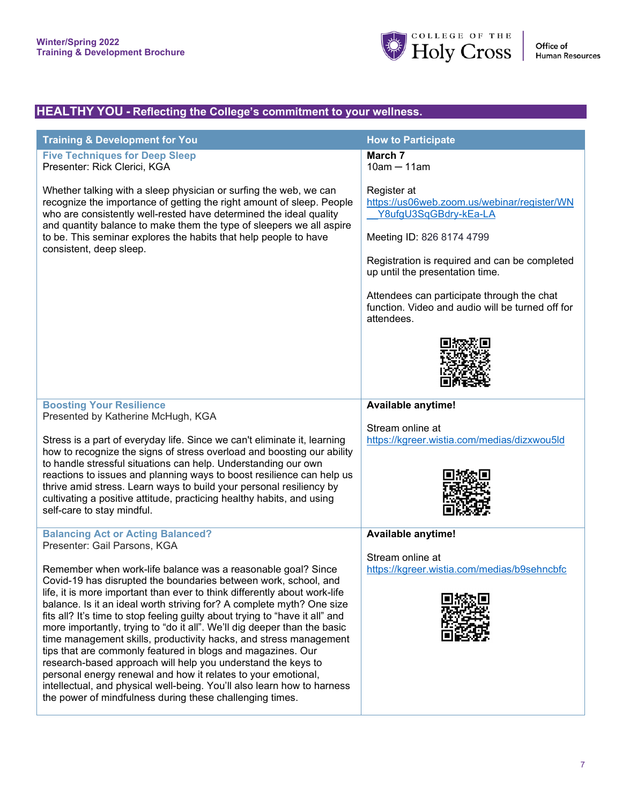

## **HEALTHY YOU - Reflecting the College's commitment to your wellness.**

| <b>Training &amp; Development for You</b>                                                                                                                                                                                                                                                                                                                                                                                                                                                                                                                                                                                                                                                                                                                                                                                                                                                                                                 | <b>How to Participate</b>                                                                                                                                                                                                                                                                                            |
|-------------------------------------------------------------------------------------------------------------------------------------------------------------------------------------------------------------------------------------------------------------------------------------------------------------------------------------------------------------------------------------------------------------------------------------------------------------------------------------------------------------------------------------------------------------------------------------------------------------------------------------------------------------------------------------------------------------------------------------------------------------------------------------------------------------------------------------------------------------------------------------------------------------------------------------------|----------------------------------------------------------------------------------------------------------------------------------------------------------------------------------------------------------------------------------------------------------------------------------------------------------------------|
| <b>Five Techniques for Deep Sleep</b><br>Presenter: Rick Clerici, KGA                                                                                                                                                                                                                                                                                                                                                                                                                                                                                                                                                                                                                                                                                                                                                                                                                                                                     | March 7<br>$10am - 11am$                                                                                                                                                                                                                                                                                             |
| Whether talking with a sleep physician or surfing the web, we can<br>recognize the importance of getting the right amount of sleep. People<br>who are consistently well-rested have determined the ideal quality<br>and quantity balance to make them the type of sleepers we all aspire<br>to be. This seminar explores the habits that help people to have<br>consistent, deep sleep.                                                                                                                                                                                                                                                                                                                                                                                                                                                                                                                                                   | Register at<br>https://us06web.zoom.us/webinar/register/WN<br>Y8ufgU3SqGBdry-kEa-LA<br>Meeting ID: 826 8174 4799<br>Registration is required and can be completed<br>up until the presentation time.<br>Attendees can participate through the chat<br>function. Video and audio will be turned off for<br>attendees. |
| <b>Boosting Your Resilience</b><br>Presented by Katherine McHugh, KGA<br>Stress is a part of everyday life. Since we can't eliminate it, learning<br>how to recognize the signs of stress overload and boosting our ability<br>to handle stressful situations can help. Understanding our own<br>reactions to issues and planning ways to boost resilience can help us<br>thrive amid stress. Learn ways to build your personal resiliency by<br>cultivating a positive attitude, practicing healthy habits, and using<br>self-care to stay mindful.                                                                                                                                                                                                                                                                                                                                                                                      | Available anytime!<br>Stream online at<br>https://kgreer.wistia.com/medias/dizxwou5ld                                                                                                                                                                                                                                |
| <b>Balancing Act or Acting Balanced?</b><br>Presenter: Gail Parsons, KGA<br>Remember when work-life balance was a reasonable goal? Since<br>Covid-19 has disrupted the boundaries between work, school, and<br>life, it is more important than ever to think differently about work-life<br>balance. Is it an ideal worth striving for? A complete myth? One size<br>fits all? It's time to stop feeling guilty about trying to "have it all" and<br>more importantly, trying to "do it all". We'll dig deeper than the basic<br>time management skills, productivity hacks, and stress management<br>tips that are commonly featured in blogs and magazines. Our<br>research-based approach will help you understand the keys to<br>personal energy renewal and how it relates to your emotional,<br>intellectual, and physical well-being. You'll also learn how to harness<br>the power of mindfulness during these challenging times. | Available anytime!<br>Stream online at<br>https://kgreer.wistia.com/medias/b9sehncbfc                                                                                                                                                                                                                                |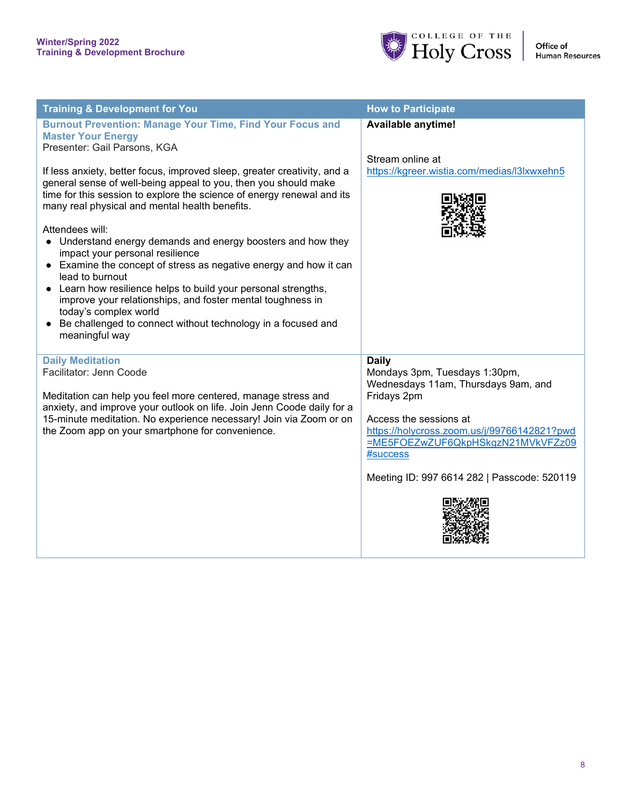

| <b>Training &amp; Development for You</b>                                                                                                                                                                                                                                                                                                                                                                                                                                                                                                                                                                                                                                                                                        | <b>How to Participate</b>                                                                                                                                                                                                                                                    |
|----------------------------------------------------------------------------------------------------------------------------------------------------------------------------------------------------------------------------------------------------------------------------------------------------------------------------------------------------------------------------------------------------------------------------------------------------------------------------------------------------------------------------------------------------------------------------------------------------------------------------------------------------------------------------------------------------------------------------------|------------------------------------------------------------------------------------------------------------------------------------------------------------------------------------------------------------------------------------------------------------------------------|
| <b>Burnout Prevention: Manage Your Time, Find Your Focus and</b><br><b>Master Your Energy</b><br>Presenter: Gail Parsons, KGA                                                                                                                                                                                                                                                                                                                                                                                                                                                                                                                                                                                                    | <b>Available anytime!</b><br>Stream online at                                                                                                                                                                                                                                |
| If less anxiety, better focus, improved sleep, greater creativity, and a<br>general sense of well-being appeal to you, then you should make<br>time for this session to explore the science of energy renewal and its<br>many real physical and mental health benefits.<br>Attendees will:<br>• Understand energy demands and energy boosters and how they<br>impact your personal resilience<br>• Examine the concept of stress as negative energy and how it can<br>lead to burnout<br>• Learn how resilience helps to build your personal strengths,<br>improve your relationships, and foster mental toughness in<br>today's complex world<br>Be challenged to connect without technology in a focused and<br>meaningful way | https://kgreer.wistia.com/medias/l3lxwxehn5                                                                                                                                                                                                                                  |
| <b>Daily Meditation</b><br>Facilitator: Jenn Coode<br>Meditation can help you feel more centered, manage stress and<br>anxiety, and improve your outlook on life. Join Jenn Coode daily for a<br>15-minute meditation. No experience necessary! Join via Zoom or on<br>the Zoom app on your smartphone for convenience.                                                                                                                                                                                                                                                                                                                                                                                                          | <b>Daily</b><br>Mondays 3pm, Tuesdays 1:30pm,<br>Wednesdays 11am, Thursdays 9am, and<br>Fridays 2pm<br>Access the sessions at<br>https://holycross.zoom.us/j/99766142821?pwd<br>=ME5FOEZwZUF6QkpHSkgzN21MVkVFZz09<br>#success<br>Meeting ID: 997 6614 282   Passcode: 520119 |
|                                                                                                                                                                                                                                                                                                                                                                                                                                                                                                                                                                                                                                                                                                                                  |                                                                                                                                                                                                                                                                              |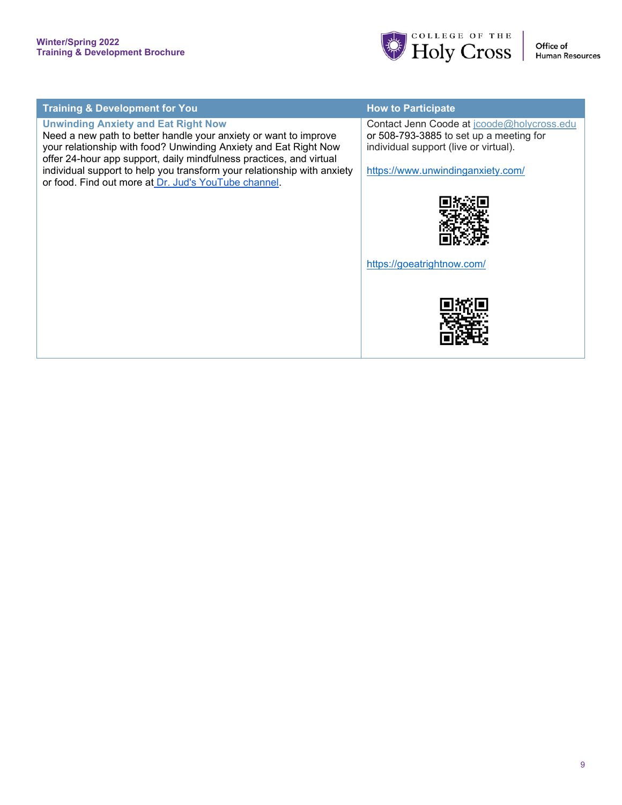

| <b>Training &amp; Development for You</b>                                                                                            | <b>How to Participate</b>                                                        |
|--------------------------------------------------------------------------------------------------------------------------------------|----------------------------------------------------------------------------------|
| <b>Unwinding Anxiety and Eat Right Now</b>                                                                                           | Contact Jenn Coode at jcoode@holycross.edu                                       |
| Need a new path to better handle your anxiety or want to improve<br>your relationship with food? Unwinding Anxiety and Eat Right Now | or 508-793-3885 to set up a meeting for<br>individual support (live or virtual). |
| offer 24-hour app support, daily mindfulness practices, and virtual                                                                  |                                                                                  |
| individual support to help you transform your relationship with anxiety<br>or food. Find out more at Dr. Jud's YouTube channel.      | https://www.unwindinganxiety.com/                                                |
|                                                                                                                                      |                                                                                  |
|                                                                                                                                      |                                                                                  |
|                                                                                                                                      |                                                                                  |
|                                                                                                                                      | https://goeatrightnow.com/                                                       |
|                                                                                                                                      |                                                                                  |
|                                                                                                                                      |                                                                                  |
|                                                                                                                                      |                                                                                  |
|                                                                                                                                      |                                                                                  |
|                                                                                                                                      |                                                                                  |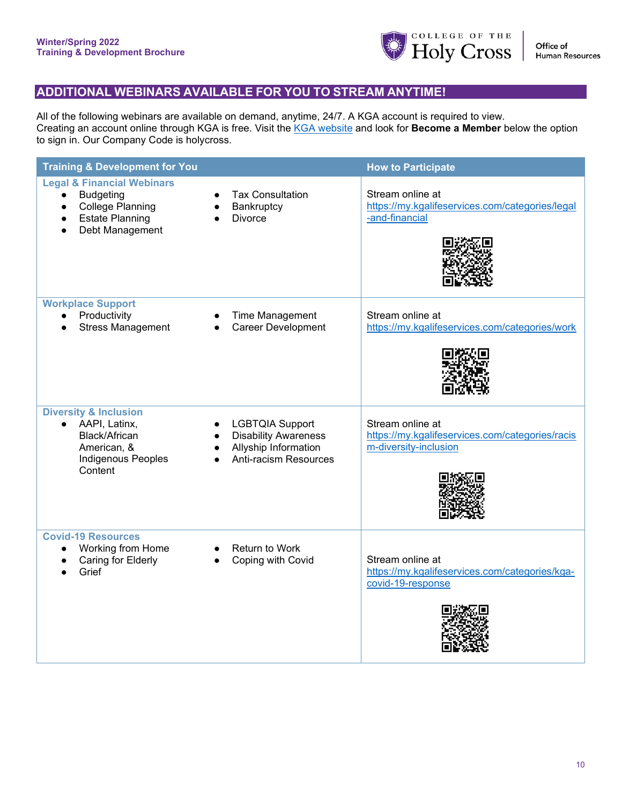

### **ADDITIONAL WEBINARS AVAILABLE FOR YOU TO STREAM ANYTIME!**

All of the following webinars are available on demand, anytime, 24/7. A KGA account is required to view. Creating an account online through KGA is free. Visit the [KGA website](https://my.kgalifeservices.com/users/sign_in) and look for **Become a Member** below the option to sign in. Our Company Code is holycross.

| <b>Training &amp; Development for You</b>                                                                                                                   |                                                                                                        | <b>How to Participate</b>                                                                    |
|-------------------------------------------------------------------------------------------------------------------------------------------------------------|--------------------------------------------------------------------------------------------------------|----------------------------------------------------------------------------------------------|
| <b>Legal &amp; Financial Webinars</b><br><b>Budgeting</b><br>$\bullet$<br><b>College Planning</b><br>$\bullet$<br><b>Estate Planning</b><br>Debt Management | <b>Tax Consultation</b><br>Bankruptcy<br><b>Divorce</b>                                                | Stream online at<br>https://my.kgalifeservices.com/categories/legal<br>-and-financial        |
| <b>Workplace Support</b><br>Productivity<br><b>Stress Management</b>                                                                                        | Time Management<br>Career Development                                                                  | Stream online at<br>https://my.kgalifeservices.com/categories/work                           |
| <b>Diversity &amp; Inclusion</b><br>AAPI, Latinx,<br>Black/African<br>American, &<br><b>Indigenous Peoples</b><br>Content                                   | <b>LGBTQIA Support</b><br><b>Disability Awareness</b><br>Allyship Information<br>Anti-racism Resources | Stream online at<br>https://my.kgalifeservices.com/categories/racis<br>m-diversity-inclusion |
| <b>Covid-19 Resources</b><br>Working from Home<br>Caring for Elderly<br>Grief                                                                               | Return to Work<br>Coping with Covid                                                                    | Stream online at<br>https://my.kgalifeservices.com/categories/kga-<br>covid-19-response      |